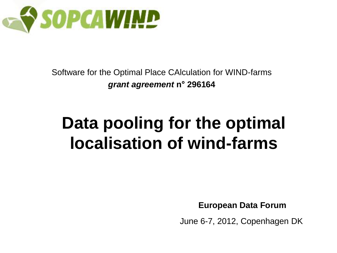

Software for the Optimal Place CAlculation for WIND-farms *grant agreement* **n° 296164**

### **Data pooling for the optimal localisation of wind-farms**

**European Data Forum**

June 6-7, 2012, Copenhagen DK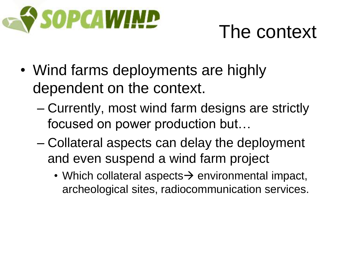

### The context

- Wind farms deployments are highly dependent on the context.
	- Currently, most wind farm designs are strictly focused on power production but…
	- Collateral aspects can delay the deployment and even suspend a wind farm project
		- Which collateral aspects  $\rightarrow$  environmental impact, archeological sites, radiocommunication services.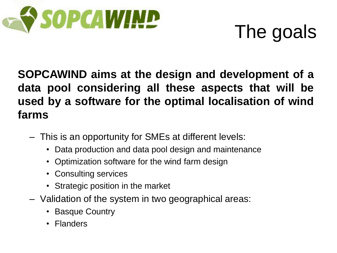

## The goals

#### **SOPCAWIND aims at the design and development of a data pool considering all these aspects that will be used by a software for the optimal localisation of wind farms**

- This is an opportunity for SMEs at different levels:
	- Data production and data pool design and maintenance
	- Optimization software for the wind farm design
	- Consulting services
	- Strategic position in the market
- Validation of the system in two geographical areas:
	- Basque Country
	- Flanders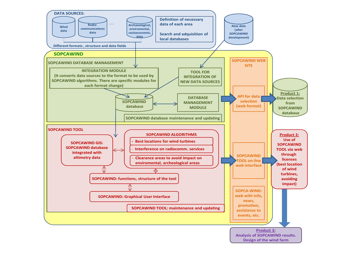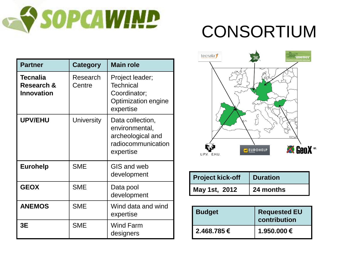

### CONSORTIUM

| <b>Partner</b>                              | <b>Category</b>    | <b>Main role</b>                                                                           |
|---------------------------------------------|--------------------|--------------------------------------------------------------------------------------------|
| Tecnalia<br>Research &<br><b>Innovation</b> | Research<br>Centre | Project leader;<br><b>Technical</b><br>Coordinator;<br>Optimization engine<br>expertise    |
| <b>UPV/EHU</b>                              | University         | Data collection,<br>environmental,<br>archeological and<br>radiocommunication<br>expertise |
| <b>Eurohelp</b>                             | <b>SME</b>         | GIS and web<br>development                                                                 |
| <b>GEOX</b>                                 | <b>SME</b>         | Data pool<br>development                                                                   |
| <b>ANEMOS</b>                               | <b>SME</b>         | Wind data and wind<br>expertise                                                            |
| 3E                                          | <b>SME</b>         | <b>Wind Farm</b><br>designers                                                              |



| <b>Project kick-off</b> | <b>Duration</b> |
|-------------------------|-----------------|
| May 1st, 2012           | 24 months       |

| <b>Budget</b> | <b>Requested EU</b><br>contribution |
|---------------|-------------------------------------|
| 2.468.785€    | 1.950.000€                          |